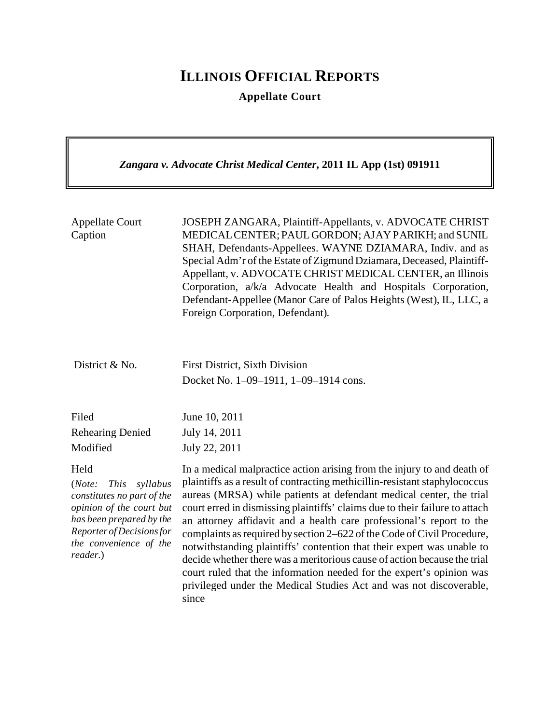## **ILLINOIS OFFICIAL REPORTS**

**Appellate Court**

*Zangara v. Advocate Christ Medical Center***, 2011 IL App (1st) 091911**

| <b>Appellate Court</b><br>Caption | JOSEPH ZANGARA, Plaintiff-Appellants, v. ADVOCATE CHRIST<br>MEDICAL CENTER; PAUL GORDON; AJAY PARIKH; and SUNIL<br>SHAH, Defendants-Appellees. WAYNE DZIAMARA, Indiv. and as<br>Special Adm'r of the Estate of Zigmund Dziamara, Deceased, Plaintiff-<br>Appellant, v. ADVOCATE CHRIST MEDICAL CENTER, an Illinois<br>Corporation, a/k/a Advocate Health and Hospitals Corporation,<br>Defendant-Appellee (Manor Care of Palos Heights (West), IL, LLC, a<br>Foreign Corporation, Defendant). |
|-----------------------------------|-----------------------------------------------------------------------------------------------------------------------------------------------------------------------------------------------------------------------------------------------------------------------------------------------------------------------------------------------------------------------------------------------------------------------------------------------------------------------------------------------|
| District & No.                    | <b>First District, Sixth Division</b><br>Docket No. 1-09-1911, 1-09-1914 cons.                                                                                                                                                                                                                                                                                                                                                                                                                |
| Filed                             | June 10, 2011                                                                                                                                                                                                                                                                                                                                                                                                                                                                                 |
| <b>Rehearing Denied</b>           | July 14, 2011                                                                                                                                                                                                                                                                                                                                                                                                                                                                                 |
| Modified                          | July 22, 2011                                                                                                                                                                                                                                                                                                                                                                                                                                                                                 |
| Held                              | In a medical malpractice action arising from the injury to and death of                                                                                                                                                                                                                                                                                                                                                                                                                       |
| (Note:                            | plaintiffs as a result of contracting methicillin-resistant staphylococcus                                                                                                                                                                                                                                                                                                                                                                                                                    |
| <i>This</i>                       | aureas (MRSA) while patients at defendant medical center, the trial                                                                                                                                                                                                                                                                                                                                                                                                                           |
| syllabus                          | court erred in dismissing plaintiffs' claims due to their failure to attach                                                                                                                                                                                                                                                                                                                                                                                                                   |
| constitutes no part of the        | an attorney affidavit and a health care professional's report to the                                                                                                                                                                                                                                                                                                                                                                                                                          |
| opinion of the court but          | complaints as required by section 2–622 of the Code of Civil Procedure,                                                                                                                                                                                                                                                                                                                                                                                                                       |
| has been prepared by the          | notwithstanding plaintiffs' contention that their expert was unable to                                                                                                                                                                                                                                                                                                                                                                                                                        |
| Reporter of Decisions for         | decide whether there was a meritorious cause of action because the trial                                                                                                                                                                                                                                                                                                                                                                                                                      |
| the convenience of the            | court ruled that the information needed for the expert's opinion was                                                                                                                                                                                                                                                                                                                                                                                                                          |
| reader.)                          | privileged under the Medical Studies Act and was not discoverable,                                                                                                                                                                                                                                                                                                                                                                                                                            |

since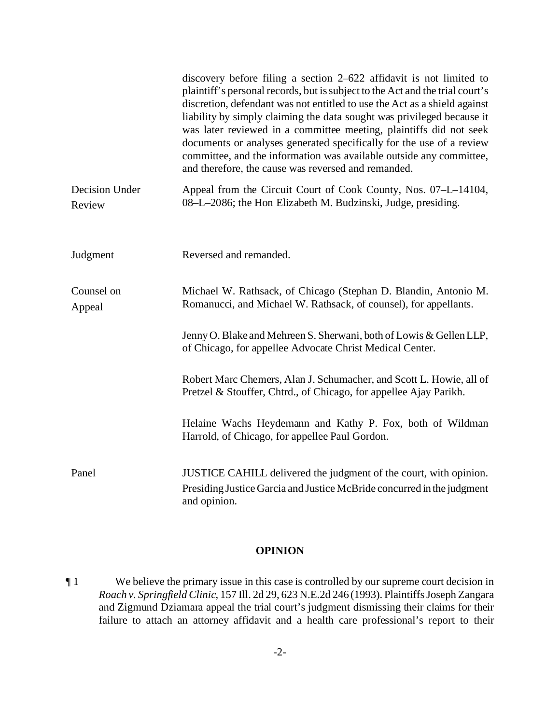|                          | discovery before filing a section $2-622$ affidavit is not limited to<br>plaintiff's personal records, but is subject to the Act and the trial court's<br>discretion, defendant was not entitled to use the Act as a shield against<br>liability by simply claiming the data sought was privileged because it<br>was later reviewed in a committee meeting, plaintiffs did not seek<br>documents or analyses generated specifically for the use of a review<br>committee, and the information was available outside any committee,<br>and therefore, the cause was reversed and remanded. |
|--------------------------|-------------------------------------------------------------------------------------------------------------------------------------------------------------------------------------------------------------------------------------------------------------------------------------------------------------------------------------------------------------------------------------------------------------------------------------------------------------------------------------------------------------------------------------------------------------------------------------------|
| Decision Under<br>Review | Appeal from the Circuit Court of Cook County, Nos. 07–L–14104,<br>08-L-2086; the Hon Elizabeth M. Budzinski, Judge, presiding.                                                                                                                                                                                                                                                                                                                                                                                                                                                            |
| Judgment                 | Reversed and remanded.                                                                                                                                                                                                                                                                                                                                                                                                                                                                                                                                                                    |
| Counsel on<br>Appeal     | Michael W. Rathsack, of Chicago (Stephan D. Blandin, Antonio M.<br>Romanucci, and Michael W. Rathsack, of counsel), for appellants.                                                                                                                                                                                                                                                                                                                                                                                                                                                       |
|                          | Jenny O. Blake and Mehreen S. Sherwani, both of Lowis & Gellen LLP,<br>of Chicago, for appellee Advocate Christ Medical Center.                                                                                                                                                                                                                                                                                                                                                                                                                                                           |
|                          | Robert Marc Chemers, Alan J. Schumacher, and Scott L. Howie, all of<br>Pretzel & Stouffer, Chtrd., of Chicago, for appellee Ajay Parikh.                                                                                                                                                                                                                                                                                                                                                                                                                                                  |
|                          | Helaine Wachs Heydemann and Kathy P. Fox, both of Wildman<br>Harrold, of Chicago, for appellee Paul Gordon.                                                                                                                                                                                                                                                                                                                                                                                                                                                                               |
| Panel                    | JUSTICE CAHILL delivered the judgment of the court, with opinion.<br>Presiding Justice Garcia and Justice McBride concurred in the judgment<br>and opinion.                                                                                                                                                                                                                                                                                                                                                                                                                               |

## **OPINION**

¶ 1 We believe the primary issue in this case is controlled by our supreme court decision in *Roach v. Springfield Clinic*, 157 Ill. 2d 29, 623 N.E.2d 246 (1993). Plaintiffs Joseph Zangara and Zigmund Dziamara appeal the trial court's judgment dismissing their claims for their failure to attach an attorney affidavit and a health care professional's report to their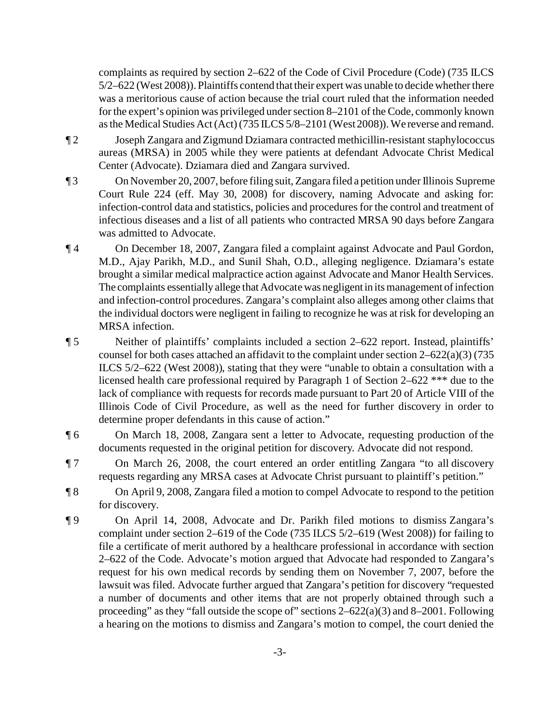complaints as required by section 2–622 of the Code of Civil Procedure (Code) (735 ILCS 5/2–622 (West 2008)). Plaintiffs contend that their expert was unable to decide whether there was a meritorious cause of action because the trial court ruled that the information needed for the expert's opinion was privileged under section 8–2101 of the Code, commonly known as the Medical Studies Act (Act) (735 ILCS 5/8–2101 (West 2008)). We reverse and remand.

- ¶ 2 Joseph Zangara and Zigmund Dziamara contracted methicillin-resistant staphylococcus aureas (MRSA) in 2005 while they were patients at defendant Advocate Christ Medical Center (Advocate). Dziamara died and Zangara survived.
- ¶ 3 On November 20, 2007, before filing suit, Zangara filed a petition under Illinois Supreme Court Rule 224 (eff. May 30, 2008) for discovery, naming Advocate and asking for: infection-control data and statistics, policies and procedures for the control and treatment of infectious diseases and a list of all patients who contracted MRSA 90 days before Zangara was admitted to Advocate.
- ¶ 4 On December 18, 2007, Zangara filed a complaint against Advocate and Paul Gordon, M.D., Ajay Parikh, M.D., and Sunil Shah, O.D., alleging negligence. Dziamara's estate brought a similar medical malpractice action against Advocate and Manor Health Services. The complaints essentially allege that Advocate was negligentin its management of infection and infection-control procedures. Zangara's complaint also alleges among other claims that the individual doctors were negligent in failing to recognize he was at risk for developing an MRSA infection.
- ¶ 5 Neither of plaintiffs' complaints included a section 2–622 report. Instead, plaintiffs' counsel for both cases attached an affidavit to the complaint under section 2–622(a)(3) (735 ILCS 5/2–622 (West 2008)), stating that they were "unable to obtain a consultation with a licensed health care professional required by Paragraph 1 of Section 2–622 \*\*\* due to the lack of compliance with requests for records made pursuant to Part 20 of Article VIII of the Illinois Code of Civil Procedure, as well as the need for further discovery in order to determine proper defendants in this cause of action."
- ¶ 6 On March 18, 2008, Zangara sent a letter to Advocate, requesting production of the documents requested in the original petition for discovery. Advocate did not respond.
- ¶ 7 On March 26, 2008, the court entered an order entitling Zangara "to all discovery requests regarding any MRSA cases at Advocate Christ pursuant to plaintiff's petition."
- ¶ 8 On April 9, 2008, Zangara filed a motion to compel Advocate to respond to the petition for discovery.
- ¶ 9 On April 14, 2008, Advocate and Dr. Parikh filed motions to dismiss Zangara's complaint under section 2–619 of the Code (735 ILCS 5/2–619 (West 2008)) for failing to file a certificate of merit authored by a healthcare professional in accordance with section 2–622 of the Code. Advocate's motion argued that Advocate had responded to Zangara's request for his own medical records by sending them on November 7, 2007, before the lawsuit was filed. Advocate further argued that Zangara's petition for discovery "requested a number of documents and other items that are not properly obtained through such a proceeding" as they "fall outside the scope of" sections  $2-622(a)(3)$  and  $8-2001$ . Following a hearing on the motions to dismiss and Zangara's motion to compel, the court denied the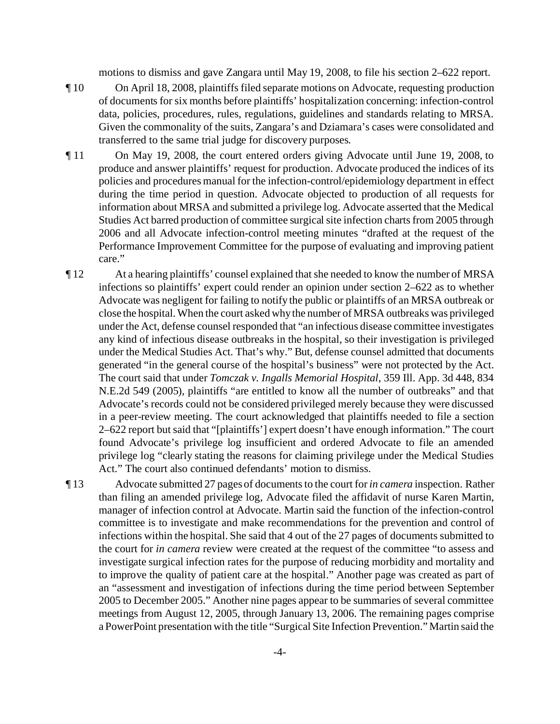motions to dismiss and gave Zangara until May 19, 2008, to file his section 2–622 report.

- ¶ 10 On April 18, 2008, plaintiffs filed separate motions on Advocate, requesting production of documents for six months before plaintiffs' hospitalization concerning: infection-control data, policies, procedures, rules, regulations, guidelines and standards relating to MRSA. Given the commonality of the suits, Zangara's and Dziamara's cases were consolidated and transferred to the same trial judge for discovery purposes.
- ¶ 11 On May 19, 2008, the court entered orders giving Advocate until June 19, 2008, to produce and answer plaintiffs' request for production. Advocate produced the indices of its policies and procedures manual for the infection-control/epidemiology department in effect during the time period in question. Advocate objected to production of all requests for information about MRSA and submitted a privilege log. Advocate asserted that the Medical Studies Act barred production of committee surgical site infection charts from 2005 through 2006 and all Advocate infection-control meeting minutes "drafted at the request of the Performance Improvement Committee for the purpose of evaluating and improving patient care."
- ¶ 12 At a hearing plaintiffs' counsel explained that she needed to know the number of MRSA infections so plaintiffs' expert could render an opinion under section 2–622 as to whether Advocate was negligent for failing to notify the public or plaintiffs of an MRSA outbreak or close the hospital. When the court asked why the number of MRSA outbreaks was privileged under the Act, defense counsel responded that "an infectious disease committee investigates any kind of infectious disease outbreaks in the hospital, so their investigation is privileged under the Medical Studies Act. That's why." But, defense counsel admitted that documents generated "in the general course of the hospital's business" were not protected by the Act. The court said that under *Tomczak v. Ingalls Memorial Hospital*, 359 Ill. App. 3d 448, 834 N.E.2d 549 (2005), plaintiffs "are entitled to know all the number of outbreaks" and that Advocate's records could not be considered privileged merely because they were discussed in a peer-review meeting. The court acknowledged that plaintiffs needed to file a section 2–622 report but said that "[plaintiffs'] expert doesn't have enough information." The court found Advocate's privilege log insufficient and ordered Advocate to file an amended privilege log "clearly stating the reasons for claiming privilege under the Medical Studies Act." The court also continued defendants' motion to dismiss.
- ¶ 13 Advocate submitted 27 pages of documents to the court for *in camera* inspection. Rather than filing an amended privilege log, Advocate filed the affidavit of nurse Karen Martin, manager of infection control at Advocate. Martin said the function of the infection-control committee is to investigate and make recommendations for the prevention and control of infections within the hospital. She said that 4 out of the 27 pages of documents submitted to the court for *in camera* review were created at the request of the committee "to assess and investigate surgical infection rates for the purpose of reducing morbidity and mortality and to improve the quality of patient care at the hospital." Another page was created as part of an "assessment and investigation of infections during the time period between September 2005 to December 2005." Another nine pages appear to be summaries of several committee meetings from August 12, 2005, through January 13, 2006. The remaining pages comprise a PowerPoint presentation with the title "Surgical Site Infection Prevention." Martin said the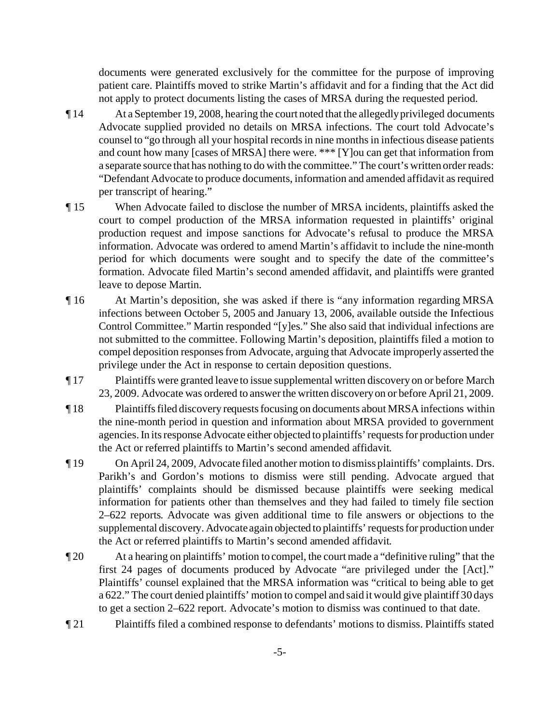documents were generated exclusively for the committee for the purpose of improving patient care. Plaintiffs moved to strike Martin's affidavit and for a finding that the Act did not apply to protect documents listing the cases of MRSA during the requested period.

- ¶ 14 At a September 19, 2008, hearing the court noted that the allegedly privileged documents Advocate supplied provided no details on MRSA infections. The court told Advocate's counsel to "go through all your hospital records in nine months in infectious disease patients and count how many [cases of MRSA] there were. \*\*\* [Y]ou can get that information from a separate source that has nothing to do with the committee." The court's written order reads: "Defendant Advocate to produce documents, information and amended affidavit as required per transcript of hearing."
- ¶ 15 When Advocate failed to disclose the number of MRSA incidents, plaintiffs asked the court to compel production of the MRSA information requested in plaintiffs' original production request and impose sanctions for Advocate's refusal to produce the MRSA information. Advocate was ordered to amend Martin's affidavit to include the nine-month period for which documents were sought and to specify the date of the committee's formation. Advocate filed Martin's second amended affidavit, and plaintiffs were granted leave to depose Martin.
- ¶ 16 At Martin's deposition, she was asked if there is "any information regarding MRSA infections between October 5, 2005 and January 13, 2006, available outside the Infectious Control Committee." Martin responded "[y]es." She also said that individual infections are not submitted to the committee. Following Martin's deposition, plaintiffs filed a motion to compel deposition responses from Advocate, arguing that Advocate improperly asserted the privilege under the Act in response to certain deposition questions.
- ¶ 17 Plaintiffs were granted leave to issue supplemental written discovery on or before March 23, 2009. Advocate was ordered to answer the written discovery on or before April 21, 2009.
- ¶ 18 Plaintiffs filed discovery requests focusing on documents about MRSA infections within the nine-month period in question and information about MRSA provided to government agencies. In its response Advocate either objected to plaintiffs' requests for production under the Act or referred plaintiffs to Martin's second amended affidavit.
- ¶ 19 On April 24, 2009, Advocate filed another motion to dismiss plaintiffs' complaints. Drs. Parikh's and Gordon's motions to dismiss were still pending. Advocate argued that plaintiffs' complaints should be dismissed because plaintiffs were seeking medical information for patients other than themselves and they had failed to timely file section 2–622 reports. Advocate was given additional time to file answers or objections to the supplemental discovery. Advocate again objected to plaintiffs' requests for production under the Act or referred plaintiffs to Martin's second amended affidavit.
- ¶ 20 At a hearing on plaintiffs' motion to compel, the court made a "definitive ruling" that the first 24 pages of documents produced by Advocate "are privileged under the [Act]." Plaintiffs' counsel explained that the MRSA information was "critical to being able to get a 622." The court denied plaintiffs' motion to compel and said it would give plaintiff 30 days to get a section 2–622 report. Advocate's motion to dismiss was continued to that date.
- ¶ 21 Plaintiffs filed a combined response to defendants' motions to dismiss. Plaintiffs stated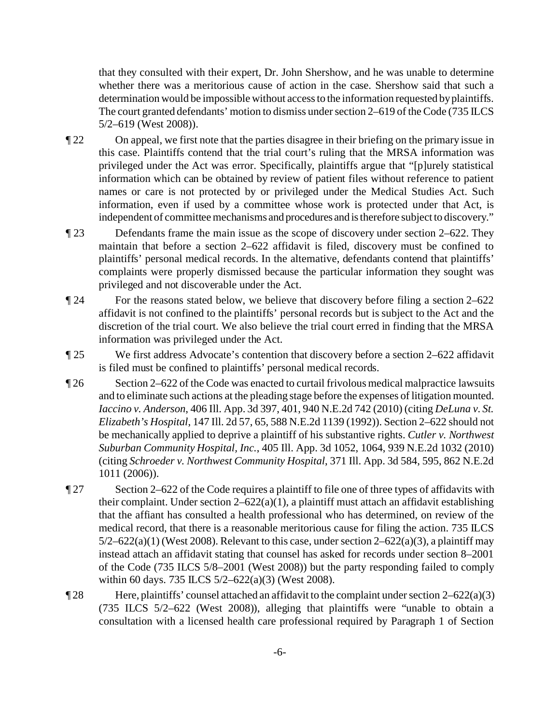that they consulted with their expert, Dr. John Shershow, and he was unable to determine whether there was a meritorious cause of action in the case. Shershow said that such a determination would be impossible without access to the information requested by plaintiffs. The court granted defendants' motion to dismiss under section 2–619 of the Code (735 ILCS 5/2–619 (West 2008)).

- ¶ 22 On appeal, we first note that the parties disagree in their briefing on the primary issue in this case. Plaintiffs contend that the trial court's ruling that the MRSA information was privileged under the Act was error. Specifically, plaintiffs argue that "[p]urely statistical information which can be obtained by review of patient files without reference to patient names or care is not protected by or privileged under the Medical Studies Act. Such information, even if used by a committee whose work is protected under that Act, is independent of committee mechanisms and procedures and is therefore subject to discovery."
- ¶ 23 Defendants frame the main issue as the scope of discovery under section 2–622. They maintain that before a section 2–622 affidavit is filed, discovery must be confined to plaintiffs' personal medical records. In the alternative, defendants contend that plaintiffs' complaints were properly dismissed because the particular information they sought was privileged and not discoverable under the Act.
- ¶ 24 For the reasons stated below, we believe that discovery before filing a section 2–622 affidavit is not confined to the plaintiffs' personal records but is subject to the Act and the discretion of the trial court. We also believe the trial court erred in finding that the MRSA information was privileged under the Act.
- ¶ 25 We first address Advocate's contention that discovery before a section 2–622 affidavit is filed must be confined to plaintiffs' personal medical records.
- ¶ 26 Section 2–622 of the Code was enacted to curtail frivolous medical malpractice lawsuits and to eliminate such actions at the pleading stage before the expenses of litigation mounted. *Iaccino v. Anderson*, 406 Ill. App. 3d 397, 401, 940 N.E.2d 742 (2010) (citing *DeLuna v. St. Elizabeth's Hospital*, 147 Ill. 2d 57, 65, 588 N.E.2d 1139 (1992)). Section 2–622 should not be mechanically applied to deprive a plaintiff of his substantive rights. *Cutler v. Northwest Suburban Community Hospital, Inc.*, 405 Ill. App. 3d 1052, 1064, 939 N.E.2d 1032 (2010) (citing *Schroeder v. Northwest Community Hospital*, 371 Ill. App. 3d 584, 595, 862 N.E.2d 1011 (2006)).
- ¶ 27 Section 2–622 of the Code requires a plaintiff to file one of three types of affidavits with their complaint. Under section  $2-622(a)(1)$ , a plaintiff must attach an affidavit establishing that the affiant has consulted a health professional who has determined, on review of the medical record, that there is a reasonable meritorious cause for filing the action. 735 ILCS  $5/2-622(a)(1)$  (West 2008). Relevant to this case, under section  $2-622(a)(3)$ , a plaintiff may instead attach an affidavit stating that counsel has asked for records under section 8–2001 of the Code (735 ILCS 5/8–2001 (West 2008)) but the party responding failed to comply within 60 days. 735 ILCS 5/2–622(a)(3) (West 2008).
- $\P$ 28 Here, plaintiffs' counsel attached an affidavit to the complaint under section 2–622(a)(3) (735 ILCS 5/2–622 (West 2008)), alleging that plaintiffs were "unable to obtain a consultation with a licensed health care professional required by Paragraph 1 of Section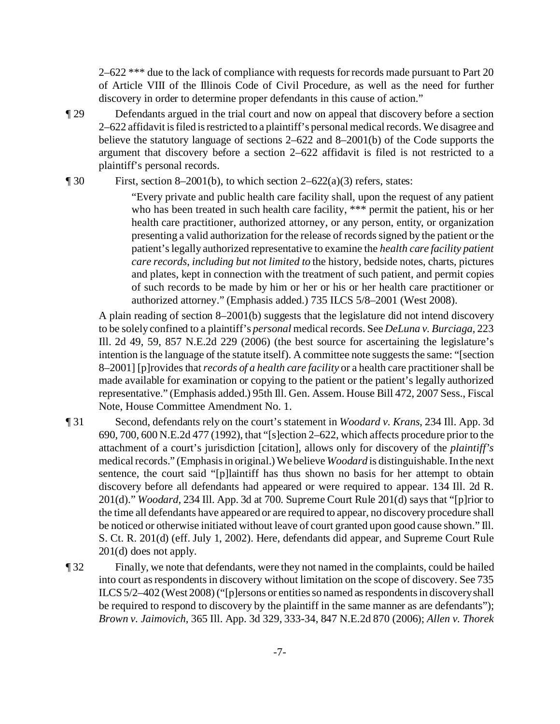2–622<sup>\*\*\*</sup> due to the lack of compliance with requests for records made pursuant to Part 20 of Article VIII of the Illinois Code of Civil Procedure, as well as the need for further discovery in order to determine proper defendants in this cause of action."

¶ 29 Defendants argued in the trial court and now on appeal that discovery before a section 2–622 affidavit is filed is restricted to a plaintiff's personal medical records. We disagree and believe the statutory language of sections 2–622 and 8–2001(b) of the Code supports the argument that discovery before a section 2–622 affidavit is filed is not restricted to a plaintiff's personal records.

 $\text{First, section 8-2001(b), to which section 2-622(a)(3) refers, states:}$ 

"Every private and public health care facility shall, upon the request of any patient who has been treated in such health care facility, \*\*\* permit the patient, his or her health care practitioner, authorized attorney, or any person, entity, or organization presenting a valid authorization for the release of records signed by the patient or the patient's legally authorized representative to examine the *health care facility patient care records*, *including but not limited to* the history, bedside notes, charts, pictures and plates, kept in connection with the treatment of such patient, and permit copies of such records to be made by him or her or his or her health care practitioner or authorized attorney." (Emphasis added.) 735 ILCS 5/8–2001 (West 2008).

A plain reading of section 8–2001(b) suggests that the legislature did not intend discovery to be solely confined to a plaintiff's *personal* medical records. See *DeLuna v. Burciaga*, 223 Ill. 2d 49, 59, 857 N.E.2d 229 (2006) (the best source for ascertaining the legislature's intention is the language of the statute itself). A committee note suggests the same: "[section 8–2001] [p]rovides that *records of a health care facility* or a health care practitioner shall be made available for examination or copying to the patient or the patient's legally authorized representative." (Emphasis added.) 95th Ill. Gen. Assem. House Bill 472, 2007 Sess., Fiscal Note, House Committee Amendment No. 1.

- ¶ 31 Second, defendants rely on the court's statement in *Woodard v. Krans*, 234 Ill. App. 3d 690, 700, 600 N.E.2d 477 (1992), that "[s]ection 2–622, which affects procedure prior to the attachment of a court's jurisdiction [citation], allows only for discovery of the *plaintiff's* medical records." (Emphasis in original.) We believe *Woodard* is distinguishable. In the next sentence, the court said "[p]laintiff has thus shown no basis for her attempt to obtain discovery before all defendants had appeared or were required to appear. 134 Ill. 2d R. 201(d)." *Woodard*, 234 Ill. App. 3d at 700. Supreme Court Rule 201(d) says that "[p]rior to the time all defendants have appeared or are required to appear, no discovery procedure shall be noticed or otherwise initiated without leave of court granted upon good cause shown." Ill. S. Ct. R. 201(d) (eff. July 1, 2002). Here, defendants did appear, and Supreme Court Rule 201(d) does not apply.
- ¶ 32 Finally, we note that defendants, were they not named in the complaints, could be hailed into court as respondents in discovery without limitation on the scope of discovery. See 735 ILCS 5/2–402 (West 2008) ("[p]ersons or entities so named as respondents in discovery shall be required to respond to discovery by the plaintiff in the same manner as are defendants"); *Brown v. Jaimovich*, 365 Ill. App. 3d 329, 333-34, 847 N.E.2d 870 (2006); *Allen v. Thorek*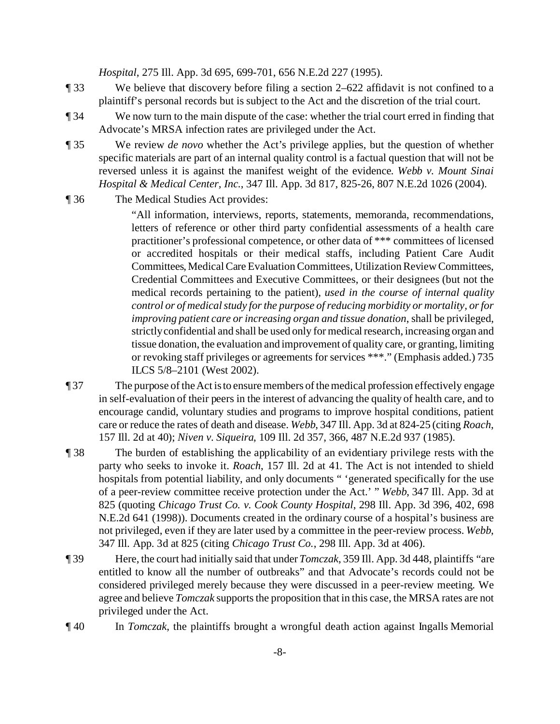*Hospital*, 275 Ill. App. 3d 695, 699-701, 656 N.E.2d 227 (1995).

- ¶ 33 We believe that discovery before filing a section 2–622 affidavit is not confined to a plaintiff's personal records but is subject to the Act and the discretion of the trial court.
- ¶ 34 We now turn to the main dispute of the case: whether the trial court erred in finding that Advocate's MRSA infection rates are privileged under the Act.
- ¶ 35 We review *de novo* whether the Act's privilege applies, but the question of whether specific materials are part of an internal quality control is a factual question that will not be reversed unless it is against the manifest weight of the evidence. *Webb v. Mount Sinai Hospital & Medical Center, Inc.*, 347 Ill. App. 3d 817, 825-26, 807 N.E.2d 1026 (2004).
- ¶ 36 The Medical Studies Act provides:

"All information, interviews, reports, statements, memoranda, recommendations, letters of reference or other third party confidential assessments of a health care practitioner's professional competence, or other data of \*\*\* committees of licensed or accredited hospitals or their medical staffs, including Patient Care Audit Committees, Medical Care Evaluation Committees, Utilization Review Committees, Credential Committees and Executive Committees, or their designees (but not the medical records pertaining to the patient), *used in the course of internal quality control or of medical study for the purpose of reducing morbidity or mortality, or for improving patient care or increasing organ and tissue donation*, shall be privileged, strictly confidential and shall be used only for medical research, increasing organ and tissue donation, the evaluation and improvement of quality care, or granting, limiting or revoking staff privileges or agreements for services \*\*\*." (Emphasis added.) 735 ILCS 5/8–2101 (West 2002).

- ¶ 37 The purpose of the Act is to ensure members of the medical profession effectively engage in self-evaluation of their peers in the interest of advancing the quality of health care, and to encourage candid, voluntary studies and programs to improve hospital conditions, patient care or reduce the rates of death and disease. *Webb*, 347 Ill. App. 3d at 824-25 (citing *Roach*, 157 Ill. 2d at 40); *Niven v. Siqueira*, 109 Ill. 2d 357, 366, 487 N.E.2d 937 (1985).
- ¶ 38 The burden of establishing the applicability of an evidentiary privilege rests with the party who seeks to invoke it. *Roach*, 157 Ill. 2d at 41. The Act is not intended to shield hospitals from potential liability, and only documents " 'generated specifically for the use of a peer-review committee receive protection under the Act.' " *Webb*, 347 Ill. App. 3d at 825 (quoting *Chicago Trust Co. v. Cook County Hospital*, 298 Ill. App. 3d 396, 402, 698 N.E.2d 641 (1998)). Documents created in the ordinary course of a hospital's business are not privileged, even if they are later used by a committee in the peer-review process. *Webb*, 347 Ill. App. 3d at 825 (citing *Chicago Trust Co.*, 298 Ill. App. 3d at 406).
- ¶ 39 Here, the court had initially said that under *Tomczak*, 359 Ill. App. 3d 448, plaintiffs "are entitled to know all the number of outbreaks" and that Advocate's records could not be considered privileged merely because they were discussed in a peer-review meeting. We agree and believe *Tomczak* supports the proposition that in this case, the MRSA rates are not privileged under the Act.
- ¶ 40 In *Tomczak*, the plaintiffs brought a wrongful death action against Ingalls Memorial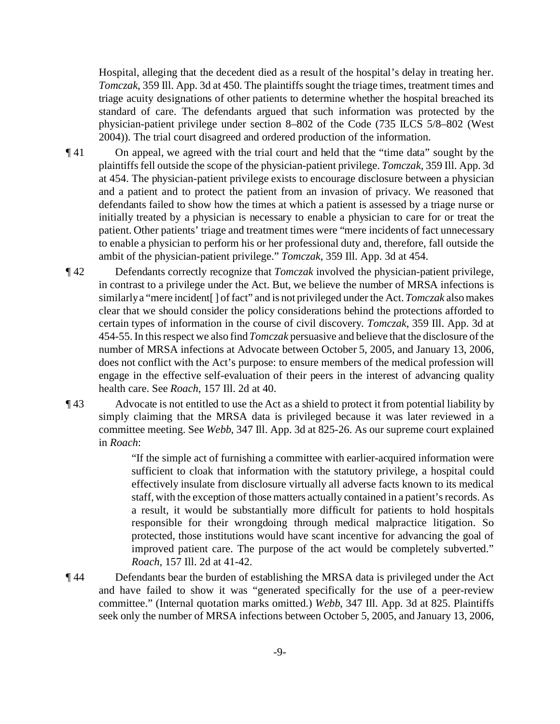Hospital, alleging that the decedent died as a result of the hospital's delay in treating her. *Tomczak*, 359 Ill. App. 3d at 450. The plaintiffs sought the triage times, treatment times and triage acuity designations of other patients to determine whether the hospital breached its standard of care. The defendants argued that such information was protected by the physician-patient privilege under section 8–802 of the Code (735 ILCS 5/8–802 (West 2004)). The trial court disagreed and ordered production of the information.

- ¶ 41 On appeal, we agreed with the trial court and held that the "time data" sought by the plaintiffs fell outside the scope of the physician-patient privilege. *Tomczak*, 359 Ill. App. 3d at 454. The physician-patient privilege exists to encourage disclosure between a physician and a patient and to protect the patient from an invasion of privacy. We reasoned that defendants failed to show how the times at which a patient is assessed by a triage nurse or initially treated by a physician is necessary to enable a physician to care for or treat the patient. Other patients' triage and treatment times were "mere incidents of fact unnecessary to enable a physician to perform his or her professional duty and, therefore, fall outside the ambit of the physician-patient privilege." *Tomczak*, 359 Ill. App. 3d at 454.
- ¶ 42 Defendants correctly recognize that *Tomczak* involved the physician-patient privilege, in contrast to a privilege under the Act. But, we believe the number of MRSA infections is similarly a "mere incident[ ] of fact" and is not privileged under the Act. *Tomczak* also makes clear that we should consider the policy considerations behind the protections afforded to certain types of information in the course of civil discovery. *Tomczak*, 359 Ill. App. 3d at 454-55. In this respect we also find *Tomczak* persuasive and believe that the disclosure of the number of MRSA infections at Advocate between October 5, 2005, and January 13, 2006, does not conflict with the Act's purpose: to ensure members of the medical profession will engage in the effective self-evaluation of their peers in the interest of advancing quality health care. See *Roach*, 157 Ill. 2d at 40.
- ¶ 43 Advocate is not entitled to use the Act as a shield to protect it from potential liability by simply claiming that the MRSA data is privileged because it was later reviewed in a committee meeting. See *Webb*, 347 Ill. App. 3d at 825-26. As our supreme court explained in *Roach*:

"If the simple act of furnishing a committee with earlier-acquired information were sufficient to cloak that information with the statutory privilege, a hospital could effectively insulate from disclosure virtually all adverse facts known to its medical staff, with the exception of those matters actually contained in a patient's records. As a result, it would be substantially more difficult for patients to hold hospitals responsible for their wrongdoing through medical malpractice litigation. So protected, those institutions would have scant incentive for advancing the goal of improved patient care. The purpose of the act would be completely subverted." *Roach*, 157 Ill. 2d at 41-42.

¶ 44 Defendants bear the burden of establishing the MRSA data is privileged under the Act and have failed to show it was "generated specifically for the use of a peer-review committee." (Internal quotation marks omitted.) *Webb*, 347 Ill. App. 3d at 825. Plaintiffs seek only the number of MRSA infections between October 5, 2005, and January 13, 2006,